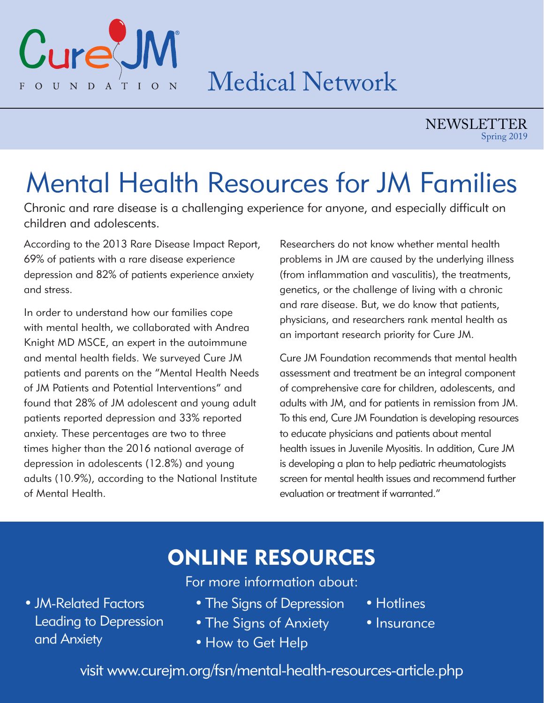

### Medical Network

NEWSLETTER Spring 2019

## Mental Health Resources for JM Families

Chronic and rare disease is a challenging experience for anyone, and especially difficult on children and adolescents.

According to the 2013 Rare Disease Impact Report, 69% of patients with a rare disease experience depression and 82% of patients experience anxiety and stress.

In order to understand how our families cope with mental health, we collaborated with Andrea Knight MD MSCE, an expert in the autoimmune and mental health fields. We surveyed Cure JM patients and parents on the "Mental Health Needs of JM Patients and Potential Interventions" and found that 28% of JM adolescent and young adult patients reported depression and 33% reported anxiety. These percentages are two to three times higher than the 2016 national average of depression in adolescents (12.8%) and young adults (10.9%), according to the National Institute of Mental Health.

Researchers do not know whether mental health problems in JM are caused by the underlying illness (from inflammation and vasculitis), the treatments, genetics, or the challenge of living with a chronic and rare disease. But, we do know that patients, physicians, and researchers rank mental health as an important research priority for Cure JM.

Cure JM Foundation recommends that mental health assessment and treatment be an integral component of comprehensive care for children, adolescents, and adults with JM, and for patients in remission from JM. To this end, Cure JM Foundation is developing resources to educate physicians and patients about mental health issues in Juvenile Myositis. In addition, Cure JM is developing a plan to help pediatric rheumatologists screen for mental health issues and recommend further evaluation or treatment if warranted."

### ONLINE RESOURCES

For more information about:

- JM-Related Factors Leading to Depression and Anxiety
- The Signs of Depression
- Hotlines
- The Signs of Anxiety
- How to Get Help
- Insurance

visit www.curejm.org/fsn/mental-health-resources-article.php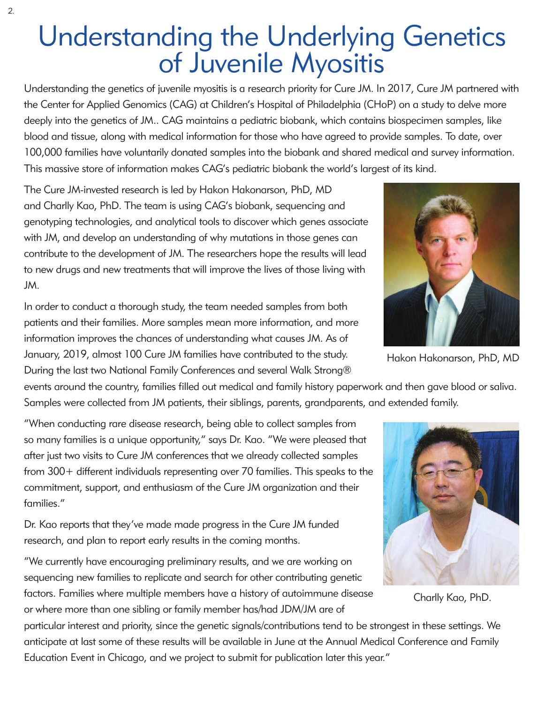# Understanding the Underlying Genetics of Juvenile Myositis

Understanding the genetics of juvenile myositis is a research priority for Cure JM. In 2017, Cure JM partnered with the Center for Applied Genomics (CAG) at Children's Hospital of Philadelphia (CHoP) on a study to delve more deeply into the genetics of JM.. CAG maintains a pediatric biobank, which contains biospecimen samples, like blood and tissue, along with medical information for those who have agreed to provide samples. To date, over 100,000 families have voluntarily donated samples into the biobank and shared medical and survey information. This massive store of information makes CAG's pediatric biobank the world's largest of its kind.

The Cure JM-invested research is led by Hakon Hakonarson, PhD, MD and Charlly Kao, PhD. The team is using CAG's biobank, sequencing and genotyping technologies, and analytical tools to discover which genes associate with JM, and develop an understanding of why mutations in those genes can contribute to the development of JM. The researchers hope the results will lead to new drugs and new treatments that will improve the lives of those living with JM.

In order to conduct a thorough study, the team needed samples from both patients and their families. More samples mean more information, and more information improves the chances of understanding what causes JM. As of January, 2019, almost 100 Cure JM families have contributed to the study. During the last two National Family Conferences and several Walk Strong®

events around the country, families filled out medical and family history paperwork and then gave blood or saliva. Samples were collected from JM patients, their siblings, parents, grandparents, and extended family.

"When conducting rare disease research, being able to collect samples from so many families is a unique opportunity," says Dr. Kao. "We were pleased that after just two visits to Cure JM conferences that we already collected samples from 300+ different individuals representing over 70 families. This speaks to the commitment, support, and enthusiasm of the Cure JM organization and their families."

Dr. Kao reports that they've made made progress in the Cure JM funded research, and plan to report early results in the coming months.

"We currently have encouraging preliminary results, and we are working on sequencing new families to replicate and search for other contributing genetic factors. Families where multiple members have a history of autoimmune disease or where more than one sibling or family member has/had JDM/JM are of

particular interest and priority, since the genetic signals/contributions tend to be strongest in these settings. We anticipate at last some of these results will be available in June at the Annual Medical Conference and Family Education Event in Chicago, and we project to submit for publication later this year."



Hakon Hakonarson, PhD, MD



Charlly Kao, PhD.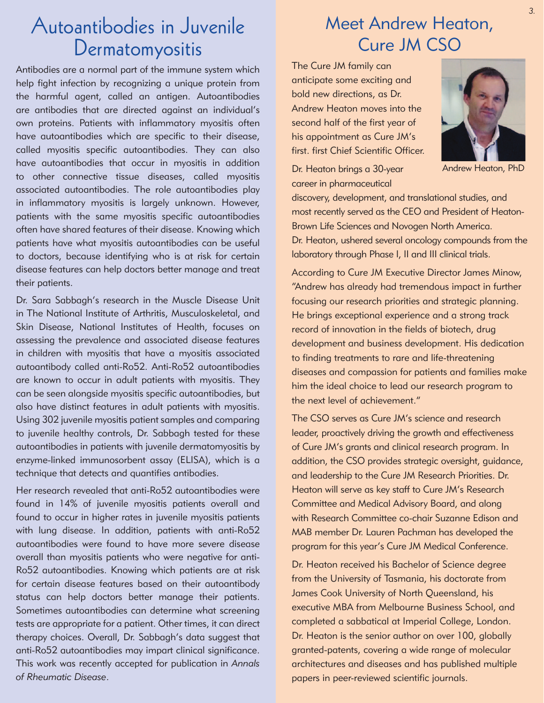### Autoantibodies in Juvenile Dermatomyositis

Antibodies are a normal part of the immune system which help fight infection by recognizing a unique protein from the harmful agent, called an antigen. Autoantibodies are antibodies that are directed against an individual's own proteins. Patients with inflammatory myositis often have autoantibodies which are specific to their disease, called myositis specific autoantibodies. They can also have autoantibodies that occur in myositis in addition to other connective tissue diseases, called myositis associated autoantibodies. The role autoantibodies play in inflammatory myositis is largely unknown. However, patients with the same myositis specific autoantibodies often have shared features of their disease. Knowing which patients have what myositis autoantibodies can be useful to doctors, because identifying who is at risk for certain disease features can help doctors better manage and treat their patients.

Dr. Sara Sabbagh's research in the Muscle Disease Unit in The National Institute of Arthritis, Musculoskeletal, and Skin Disease, National Institutes of Health, focuses on assessing the prevalence and associated disease features in children with myositis that have a myositis associated autoantibody called anti-Ro52. Anti-Ro52 autoantibodies are known to occur in adult patients with myositis. They can be seen alongside myositis specific autoantibodies, but also have distinct features in adult patients with myositis. Using 302 juvenile myositis patient samples and comparing to juvenile healthy controls, Dr. Sabbagh tested for these autoantibodies in patients with juvenile dermatomyositis by enzyme-linked immunosorbent assay (ELISA), which is a technique that detects and quantifies antibodies.

Her research revealed that anti-Ro52 autoantibodies were found in 14% of juvenile myositis patients overall and found to occur in higher rates in juvenile myositis patients with lung disease. In addition, patients with anti-Ro52 autoantibodies were found to have more severe disease overall than myositis patients who were negative for anti-Ro52 autoantibodies. Knowing which patients are at risk for certain disease features based on their autoantibody status can help doctors better manage their patients. Sometimes autoantibodies can determine what screening tests are appropriate for a patient. Other times, it can direct therapy choices. Overall, Dr. Sabbagh's data suggest that anti-Ro52 autoantibodies may impart clinical significance. This work was recently accepted for publication in *Annals of Rheumatic Disease*.

#### Meet Andrew Heaton, Cure JM CSO

The Cure JM family can anticipate some exciting and bold new directions, as Dr. Andrew Heaton moves into the second half of the first year of his appointment as Cure JM's first. first Chief Scientific Officer.

Dr. Heaton brings a 30-year career in pharmaceutical



Andrew Heaton, PhD

discovery, development, and translational studies, and most recently served as the CEO and President of Heaton-Brown Life Sciences and Novogen North America.

Dr. Heaton, ushered several oncology compounds from the laboratory through Phase I, II and III clinical trials.

According to Cure JM Executive Director James Minow, "Andrew has already had tremendous impact in further focusing our research priorities and strategic planning. He brings exceptional experience and a strong track record of innovation in the fields of biotech, drug development and business development. His dedication to finding treatments to rare and life-threatening diseases and compassion for patients and families make him the ideal choice to lead our research program to the next level of achievement."

The CSO serves as Cure JM's science and research leader, proactively driving the growth and effectiveness of Cure JM's grants and clinical research program. In addition, the CSO provides strategic oversight, guidance, and leadership to the Cure JM Research Priorities. Dr. Heaton will serve as key staff to Cure JM's Research Committee and Medical Advisory Board, and along with Research Committee co-chair Suzanne Edison and MAB member Dr. Lauren Pachman has developed the program for this year's Cure JM Medical Conference.

Dr. Heaton received his Bachelor of Science degree from the University of Tasmania, his doctorate from James Cook University of North Queensland, his executive MBA from Melbourne Business School, and completed a sabbatical at Imperial College, London. Dr. Heaton is the senior author on over 100, globally granted-patents, covering a wide range of molecular architectures and diseases and has published multiple papers in peer-reviewed scientific journals.